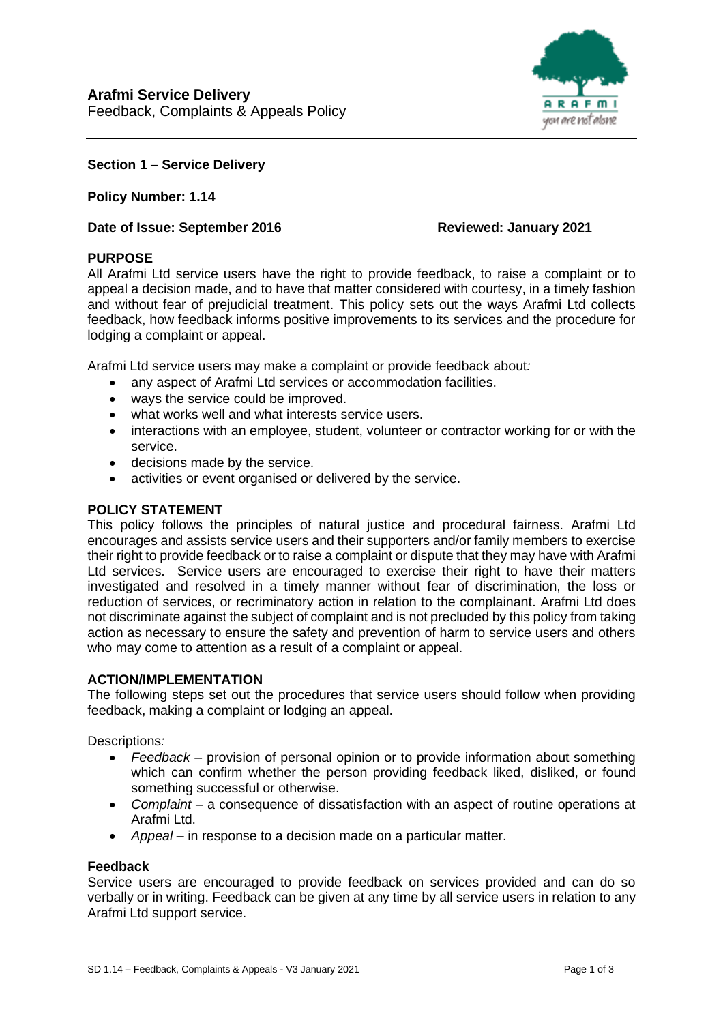

## **Section 1 – Service Delivery**

**Policy Number: 1.14**

## **Date of Issue: September 2016 Reviewed: January 2021**

# **PURPOSE**

All Arafmi Ltd service users have the right to provide feedback, to raise a complaint or to appeal a decision made, and to have that matter considered with courtesy, in a timely fashion and without fear of prejudicial treatment. This policy sets out the ways Arafmi Ltd collects feedback, how feedback informs positive improvements to its services and the procedure for lodging a complaint or appeal.

Arafmi Ltd service users may make a complaint or provide feedback about*:*

- any aspect of Arafmi Ltd services or accommodation facilities.
- ways the service could be improved.
- what works well and what interests service users.
- interactions with an employee, student, volunteer or contractor working for or with the service.
- decisions made by the service.
- activities or event organised or delivered by the service.

### **POLICY STATEMENT**

This policy follows the principles of natural justice and procedural fairness. Arafmi Ltd encourages and assists service users and their supporters and/or family members to exercise their right to provide feedback or to raise a complaint or dispute that they may have with Arafmi Ltd services. Service users are encouraged to exercise their right to have their matters investigated and resolved in a timely manner without fear of discrimination, the loss or reduction of services, or recriminatory action in relation to the complainant. Arafmi Ltd does not discriminate against the subject of complaint and is not precluded by this policy from taking action as necessary to ensure the safety and prevention of harm to service users and others who may come to attention as a result of a complaint or appeal.

### **ACTION/IMPLEMENTATION**

The following steps set out the procedures that service users should follow when providing feedback, making a complaint or lodging an appeal.

Descriptions*:*

- *Feedback* provision of personal opinion or to provide information about something which can confirm whether the person providing feedback liked, disliked, or found something successful or otherwise.
- *Complaint* a consequence of dissatisfaction with an aspect of routine operations at Arafmi Ltd.
- *Appeal* in response to a decision made on a particular matter.

### **Feedback**

Service users are encouraged to provide feedback on services provided and can do so verbally or in writing. Feedback can be given at any time by all service users in relation to any Arafmi Ltd support service.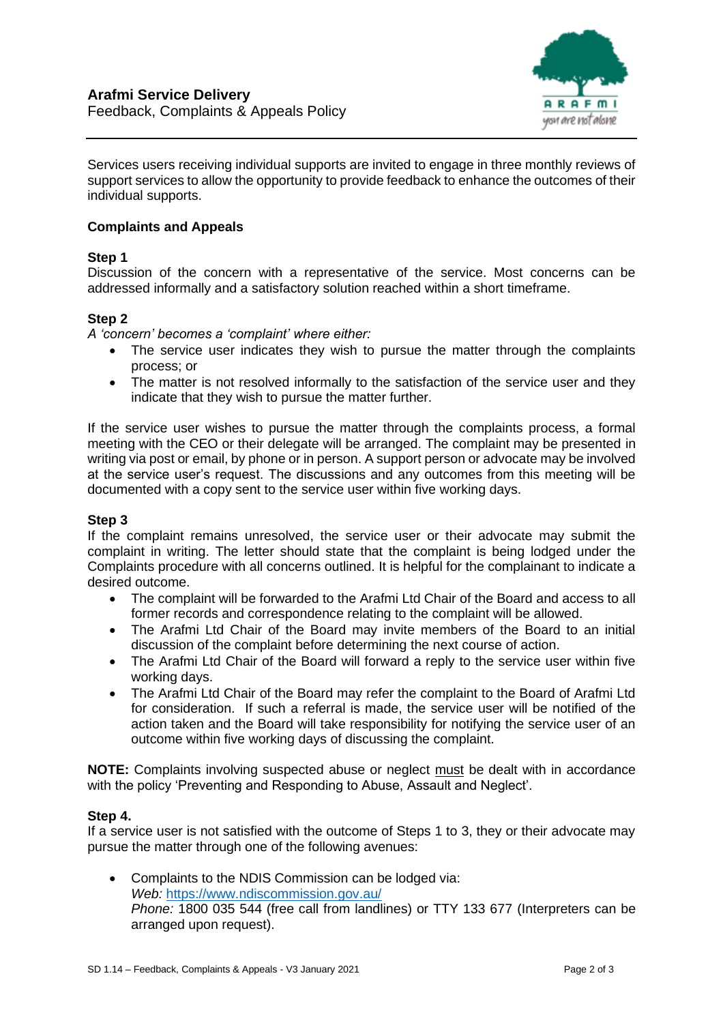

Services users receiving individual supports are invited to engage in three monthly reviews of support services to allow the opportunity to provide feedback to enhance the outcomes of their individual supports.

# **Complaints and Appeals**

# **Step 1**

Discussion of the concern with a representative of the service. Most concerns can be addressed informally and a satisfactory solution reached within a short timeframe.

# **Step 2**

*A 'concern' becomes a 'complaint' where either:*

- The service user indicates they wish to pursue the matter through the complaints process; or
- The matter is not resolved informally to the satisfaction of the service user and they indicate that they wish to pursue the matter further.

If the service user wishes to pursue the matter through the complaints process, a formal meeting with the CEO or their delegate will be arranged. The complaint may be presented in writing via post or email, by phone or in person. A support person or advocate may be involved at the service user's request. The discussions and any outcomes from this meeting will be documented with a copy sent to the service user within five working days.

# **Step 3**

If the complaint remains unresolved, the service user or their advocate may submit the complaint in writing. The letter should state that the complaint is being lodged under the Complaints procedure with all concerns outlined. It is helpful for the complainant to indicate a desired outcome.

- The complaint will be forwarded to the Arafmi Ltd Chair of the Board and access to all former records and correspondence relating to the complaint will be allowed.
- The Arafmi Ltd Chair of the Board may invite members of the Board to an initial discussion of the complaint before determining the next course of action.
- The Arafmi Ltd Chair of the Board will forward a reply to the service user within five working days.
- The Arafmi Ltd Chair of the Board may refer the complaint to the Board of Arafmi Ltd for consideration. If such a referral is made, the service user will be notified of the action taken and the Board will take responsibility for notifying the service user of an outcome within five working days of discussing the complaint.

**NOTE:** Complaints involving suspected abuse or neglect must be dealt with in accordance with the policy 'Preventing and Responding to Abuse, Assault and Neglect'.

## **Step 4.**

If a service user is not satisfied with the outcome of Steps 1 to 3, they or their advocate may pursue the matter through one of the following avenues:

• Complaints to the NDIS Commission can be lodged via: *Web:* <https://www.ndiscommission.gov.au/> *Phone:* 1800 035 544 (free call from landlines) or TTY 133 677 (Interpreters can be arranged upon request).